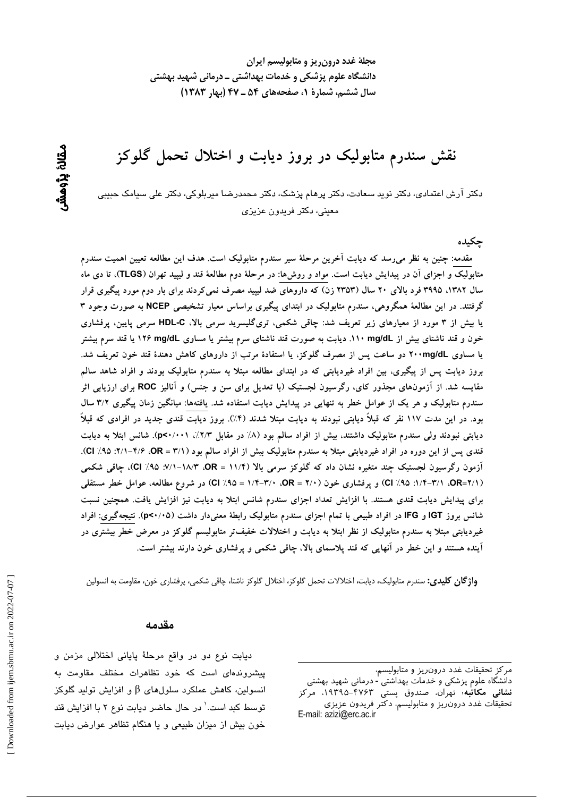مجلهٔ غدد درون ریز و متابولیسم ایران دانشگاه علوم پزشکی و خدمات بهداشتی ــ درمانی شهید بهشتی سال ششم، شمارة 1، صفحههای ۵۴ ـ ۴۷ (بهار ۱۳۸۳)

نقش سندرم متابولیک در بروز دیابت و اختلال تحمل گلوکز

دکتر آرش اعتمادی، دکتر نوید سعادت، دکتر پرهام پزشک، دکتر محمدرضا میربلوکی، دکتر علی سیامک حبیبی معيني، دکتر فريدون عزيزي

ڃکيده

مقدمه: چنین به نظر میرسد که دیابت آخرین مرحلهٔ سیر سندرم متابولیک است. هدف این مطالعه تعیین اهمیت سندرم متابولیک و اجزای آن در پیدایش دیابت است. مواد و روشها: در مرحلهٔ دوم مطالعهٔ قند و لیپید تهران (TLGS)، تا دی ماه سال ۱۳۸۲، ۳۹۹۵ فرد بالای ۲۰ سال (۲۳۵۳ زن) که داروهای ضد لیپید مصرف نمی کردند برای بار دوم مورد پیگیری قرار گرفتند. در این مطالعهٔ همگروهی، سندرم متابولیک در ابتدای پیگیری براساس معیار تشخیصی NCEP به صورت وجود ۳ یا بیش از ۳ مورد از معیارهای زیر تعریف شد: چاقی شکمی، تریگلیسرید سرمی بالا، HDL-C سرمی پایین، پرفشاری خون و قند ناشتای بیش از ۱۱۰ mg/dL. دیابت به صورت قند ناشتای سرم بیشتر یا مساوی ۱۲۶ mg/dL یا قند سرم بیشتر یا مساوی ۲۰۰mg/dL دو ساعت پس از مصرف گلوکز، یا استفادهٔ مرتب از داروهای کاهش دهندهٔ قند خون تعریف شد. بروز دیابت پس از پیگیری، بین افراد غیردیابتی که در ابتدای مطالعه مبتلا به سندرم متابولیک بودند و افراد شاهد سالم مقایسه شد. از آزمونهای مجذور کای، رگرسیون لجستیک (با تعدیل برای سن و جنس) و آنالیز ROC برای ارزیابی اثر سندرم متابولیک و هر یک از عوامل خطر به تنهایی در پیدایش دیابت استفاده شد. یافتهها: میانگین زمان پیگیری ۳/۲ سال بود. در این مدت ۱۱۷ نفر که قبلاً دیابتی نبودند به دیابت مبتلا شدند (۴٪). بروز دیابت قندی جدید در افرادی که قبلاً دیابتی نبودند ولی سندرم متابولیک داشتند، بیش از افراد سالم بود (۸/ در مقابل ۲/۳/٪، p<۰/۰۰۱). شانس ابتلا به دیابت قندی پس از این دوره در افراد غیردیابتی مبتلا به سندرم متابولیک بیش از افراد سالم بود (۳/۱ = OR، ۰۶/۶–۰۷٪ Cl). آزمون رگرسیون لجستیک چند متغیره نشان داد که گلوکز سرمی بالا (۱۱/۴ = OR، ۱۸/۳-۱۸/۱؛ Cl /۹۵)، چاقی شکمی (٥R=٢/١). ٠/١/٣-١/٢) و پرفشاري خون (٥٢ = ٥R، ٠/٣-١/٣) = ١/٩٥) در شروع مطالعه، عوامل خطر مستقلي برای پیدایش دیابت قندی هستند. با افزایش تعداد اجزای سندرم شانس ابتلا به دیابت نیز افزایش یافت. همچنین نسبت شانس بروز IGT و IFG در افراد طبیعی با تمام اجزای سندرم متابولیک رابطهٔ معنیدار داشت (p<۰/۰۵). نتیجهگیری: افراد غیردیابتی مبتلا به سندرم متابولیک از نظر ابتلا به دیابت و اختلالات خفیفتر متابولیسم گلوکز در معرض خطر بیشتری در اًینده هستند و این خطر در انهایی که قند پلاسمای بالا، چاقی شکمی و پرفشاری خون دارند بیشتر است.

**واژگان کلیدی:** سندرم متابولیک، دیابت، اختلالات تحمل گلوکز، اختلال گلوکز ناشتا، چاقی شکمی، پرفشاری خون، مقاومت به انسولین

#### مقدمه

دیابت نوع دو در واقع مرحلهٔ پایانی اختلالی مزمن و پیشروندهای است که خود تظاهرات مختلف مقاومت به انسىولين، كاهش عملكرد سلولهاى  $\beta$  و افزايش توليد گلوكز توسط کبد است.' در حال حاضر دیابت نوع ۲ با افزایش قند خون بیش از میزان طبیعی و یا هنگام تظاهر عوارض دیابت

مركز تحقيقات غدد درون ريز و متابوليسم،

دانشگاه علوم پزشکی و خدمات بهداشتی - درمانی شهید بهشتی نشانی مکاتبه تهران، صندوق یستی ۴۷۶۳–۱۹۳۹۵، مرکز تحقيقات غدد درون ريز و متابوليسم، دكتر فريدون عزيزى E-mail: azizi@erc.ac.ir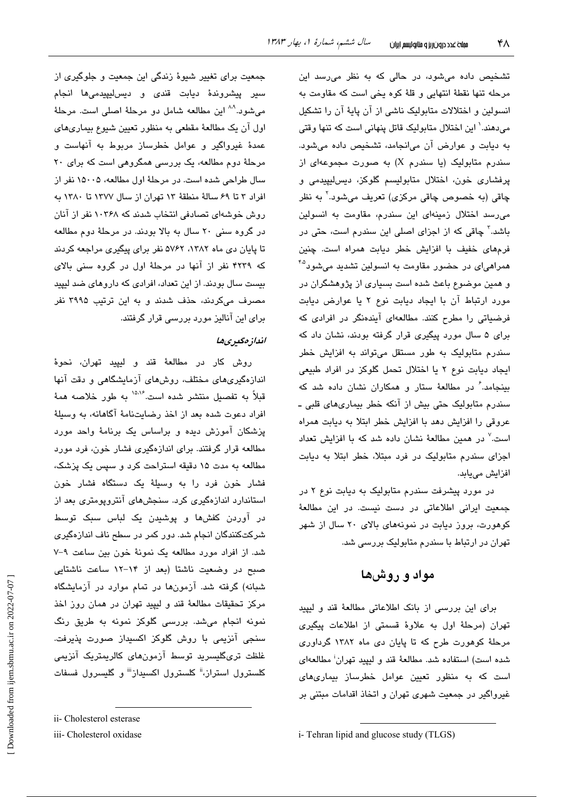تشخیص داده میشود، در حالی که به نظر میرسد این مرحله تنها نقطة انتهایی و قلهٔ کوه یخی است که مقاومت به انسولین و اختلالات متابولیک ناشی از آن پایهٔ آن را تشکیل میدهند.' این اختلال متابولیک قاتل پنهانی است که تنها وقتی به دیابت و عوارض آن می انجامد، تشخیص داده می شود. سندرم متابولیک (یا سندرم X) به صورت مجموعهای از پرفشاری خون، اختلال متابولیسم گلوکز، دیس لیپیدمی و چاقی (به خصوص چاقی مرکزی) تعریف میشود.<sup>۲</sup> به نظر می رسد اختلال زمینهای این سندرم، مقاومت به انسولین باشد. ٔ چاقی که از اجزای اصلی این سندرم است، حتی در فرمهای خفیف با افزایش خطر دیابت همراه است. چنین همرا*هی*ای در حضور مقاومت به انسولین تشدید میشود<sup>ه\*</sup> و همین موضوع باعث شده است بسیاری از پژوهشگران در مورد ارتباط آن با ایجاد دیابت نوع ٢ یا عوارض دیابت فرضیاتی را مطرح کنند. مطالعهای آیندهنگر در افرادی که برای ۵ سال مورد پیگیری قرار گرفته بودند، نشان داد که سندرم متابولیک به طور مستقل میتواند به افزایش خطر ایجاد دیابت نوع ٢ یا اختلال تحمل گلوکز در افراد طبیعی بینجامد. ٔ در مطالعهٔ ستار و همکاران نشان داده شد که سندرم متابولیک حتی بیش از آنکه خطر بیماریهای قلبی ـ عروقی را افزایش دهد یا افزایش خطر ایتلا به دیایت همراه است.<sup>۷</sup> در همین مطالعهٔ نشان داده شد که با افزایش تعداد اجزای سندرم متابولیک در فرد مبتلا، خطر ابتلا به دیابت افزائش مے بائد.

در مورد پیشرفت سندرم متابولیک به دیابت نوع ۲ در جمعیت ایرانی اطلاعاتی در دست نیست. در این مطالعهٔ کوهورت، بروز دیابت در نمونههای بالای ۲۰ سال از شهر تهران در ارتباط با سندرم متابولیک بررسی شد.

## مواد و روشها

برای این بررسی از بانک اطلاعاتی مطالعهٔ قند و لیپید تهران (مرحلهٔ اول به علاوهٔ قسمتی از اطلاعات پیگیری مرحلهٔ کوهورت طرح که تا پایان دی ماه ۱۳۸۲ گرداوری شده است) استفاده شد. مطالعهٔ قند و لیپید تهران<sup>:</sup> مطالعهای است که به منظور تعیین عوامل خطرساز بیماریهای غیرواگیر در جمعیت شهری تهران و اتخاذ اقدامات مبتنی بر

جمعیت برای تغییر شیوهٔ زندگی این جمعیت و جلوگیری از سير پيشروندۀ ديابت قندی و ديسليپيدمیها انجام مي شود.<sup>٨٨</sup> اين مطالعه شامل دو مرحلهٔ اصلي است. مرحلهٔ اول آن یک مطالعهٔ مقطعی به منظور تعیین شیوع بیماریهای عمدهٔ غیرواگیر و عوامل خطرساز مربوط به آنهاست و مرحلهٔ دوم مطالعه، یک بررسی همگروهی است که برای ۲۰ سال طراحی شده است. در مرحلهٔ اول مطالعه، ۱۵۰۰۵ نفر از افراد ٣ تا ۶۹ سالة منطقة ١٣ تهران از سال ١٣٧٧ تا ١٣٨٠ به روش خوشهای تصادفی انتخاب شدند که ۱۰۳۶۸ نفر از آنان در گروه سنی ۲۰ سال به بالا بودند. در مرحلهٔ دوم مطالعه تا پایان دی ماه ۱۳۸۲، ۵۷۶۲ نفر برای پیگیری مراجعه کردند که ۴۲۳۹ نفر از آنها در مرحلهٔ اول در گروه سنی بالای بیست سال بودند. از این تعداد، افرادی که داروهای ضد لیپید مصرف میکردند، حذف شدند و به این ترتیب ۳۹۹۵ نفر برای این آنالیز مورد پررسی قرار گرفتند.

#### انداز مگسری ها

روش كار در مطالعهٔ قند و ليپيد تهران، نحوهٔ اندازهگیریهای مختلف، روشهای آزمایشگاهی و دقت آنها قبلاً به تفصيل منتشر شده است.<sup>۱۵،۱۶</sup> به طور خلاصه همهٔ افراد دعوت شده بعد از اخذ رضایتنامهٔ آگاهانه، به وسیلهٔ یزشکان آموزش دیده و براساس یک برنامهٔ واحد مورد مطالعه قرار گرفتند. برای اندازهگیری فشار خون، فرد مورد مطالعه به مدت ۱۵ دقیقه استراحت کرد و سپس یک پزشک، فشار خون فرد را به وسیلهٔ یک دستگاه فشار خون استاندارد اندازهگیری کرد. سنجشهای آنتروپومتری بعد از در آوردن کفشها و پوشیدن یک لباس سبک توسط شرکتکنندگان انجام شد. دور کمر در سطح ناف اندازهگیری شد. از افراد مورد مطالعه یک نمونهٔ خون بین ساعت ۹-۷ صبح در وضعیت ناشتا (بعد از ۱۴-۱۲ ساعت ناشتایی شبانه) گرفته شد. آزمونها در تمام موارد در آزمایشگاه مرکز تحقیقات مطالعهٔ قند و لیپید تهران در همان روز اخذ نمونه انجام میشد. بررسی گلوکز نمونه به طریق رنگ سنجی آنزیمی با روش گلوکز اکسیداز صورت پذیرفت. غلظت ترىگليسريد توسط آزمون،هاى كالريمتريک آنزيمى کلسترول استراز،<sup></sup>" کلسترول اکسیداز<sup>"</sup> و گلیسرول فسفات

ii- Cholesterol esterase

iii- Cholesterol oxidase

i-Tehran lipid and glucose study (TLGS)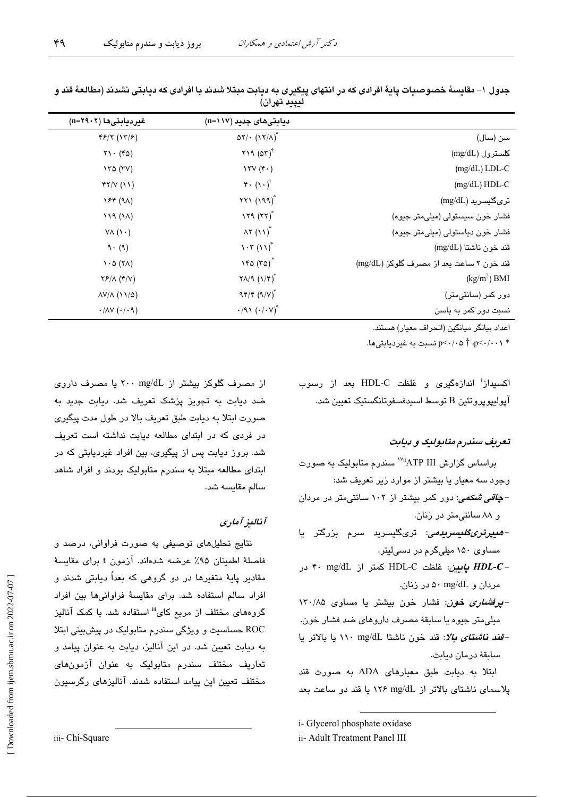۴۹

|                                          | دیابتیهای جدید (۱۱۷=n)                        | غیردیابتیها (۲۹۰۲=n)                        |
|------------------------------------------|-----------------------------------------------|---------------------------------------------|
| سن (سال)                                 | $\Delta Y / \cdot (1Y/\Lambda)^{*}$           | 45/7 (17/5)                                 |
| $(\rm mg/dL)$ كلسترول                    | $Y19 (07)^T$                                  | $Y\setminus (Y\circ)$                       |
| $(mg/dL)$ LDL-C                          | $\forall \forall (\mathfrak{f} \cdot )$       | $\forall x \in (XY)$                        |
| $(mg/dL) HDL-C$                          | $\mathbf{r} \cdot (\mathbf{v} \cdot)^\dagger$ | YY/V(11)                                    |
| ترىگليسريد (mg/dL)                       | $XY1(199)^*$                                  | YF(A)                                       |
| فشار خون سیستولی (میلی متر جیوه)         | $179 (77)^*$                                  | 119(1)                                      |
| فشار خون دیاستولی (میلی متر جیوه)        | $\Lambda Y$ $(11)^*$                          | $V\Lambda$ $(V \cdot)$                      |
| $(mg/dL)$ قند خون ناشتا                  | $\mathcal{N}(\mathcal{N})^*$                  | 9.9)                                        |
| قند خون ۲ ساعت بعد از مصرف گلوکز (mg/dL) | $Y^*$ $(Y^*$                                  | $\lambda$ . $\circ$ ( $\lambda$ )           |
| $(kg/m2)$ BMI                            | $\Upsilon\Lambda/9$ $(\Upsilon/\Upsilon)^*$   | $Y$ $/$ $\wedge$ $(Y/V)$                    |
| دور کمر (سانتیمتر)                       | $94/8$ $(9/8)^*$                              | $\Delta V/\Delta$ (11/2)                    |
| نسبت دور کمر به باسن                     | $\cdot$ /91 $(\cdot/\cdot V)^*$               | $\cdot$ / $\wedge$ Y $(\cdot/\cdot \wedge)$ |

جدول ١– مقايسهٔ خصوصيات پايهٔ افرادي كه در انتهاي پيگيري به ديابت مبتلا شدند با افرادي كه ديابتي نشدند (مطالعهٔ قند و ليپيد تهران)

اعداد ببانگر مبانگین (انجراف معبار) هستند.

\* p<-/··\ \* p<-/·· ^ \* p<-/- شىبت به غير ديابتي ها.

اکسیداز<sup>:</sup> اندازهگیری و غلظت HDL-C بعد از رسوب آپوليپوپروتئين B توسط اسيدفسفوتانگستيک تعيين شد.

#### تعریف سندرم متابولیک و دیابت

براساس گزارش ATP III" سندرم متابولیک به صورت وجود سه معیار یا بیشتر از موارد زیر تعریف شد: – *چاقی شکمی: دو*ر کمر بیشتر از ۱۰۲ سانتیمتر در مردان و ۸۸ سانتی متر در زنان. *-ھىيرترىگلىسرىدىى: ترىگل*ىسرىد سرم بزرگتر يا مساوی ۱۵۰ میلیگرم در دسیلیتر. - HDL-C *پایین:* غلظت HDL-C کمتر از mg/dL در مردان و mg/dL ۵۰ در زنان. - *پرفشاری خون*: فشار خون بیشتر یا مساوی ۱۳۰/۸۵ ميلي متر جيوه يا سابقة مصرف داروهاي ضد فشار خون. -قند ن*اشتای بالا*: قند خون ناشتا mg/dL ۱۱۰ یا بالاتر یا ساىقة درمان دىاىت.

ابتلا به دیابت طبق معیارهای ADA به صورت قند پلاسمای ناشتای بالاتر از mg/dL ۱۲۶ با قند دو ساعت بعد

i- Glycerol phosphate oxidase

ii- Adult Treatment Panel III

از مصرف گلوکز بیشتر از r۰۰ mg/dL با مصرف داروی ضد دبابت به تجویز پزشک تعریف شد. دبابت جدید به صورت ابتلا به دیابت طبق تعریف بالا در طول مدت پیگیری در فردی که در ابتدای مطالعه دیابت نداشته است تعریف شد. بروز دیابت پس از پیگیری، بین افراد غیردیابتی که در ابتدای مطالعه مبتلا به سندرم متابولیک بودند و افراد شاهد سالم مقايسه شد.

### آناليز آماري

نتايج تحليلهاى توصيفى به صورت فراوانى، درصد و فاصلة اطمينان ٩۵٪ عرضه شدهاند. آزمون t براى مقايسة مقادیر پایهٔ متغیرها در دو گروهی که بعداً دیابتی شدند و افراد سالم استفاده شد. برای مقایسهٔ فراوانیها بین افراد گروههای مختلف از مربع کای<sup>iii</sup> استفاده شد. با کمک آنالیز ROC حساسیت و ویژگی سندرم متابولیک در پیشبینی ابتلا به دبابت تعبین شد. در این آنالیز، دبابت به عنوان پیامد و تعاریف مختلف سندرم متابولیک به عنوان آزمونهای مختلف تعیین این پیامد استفاده شدند. آنالیزهای رگرسیون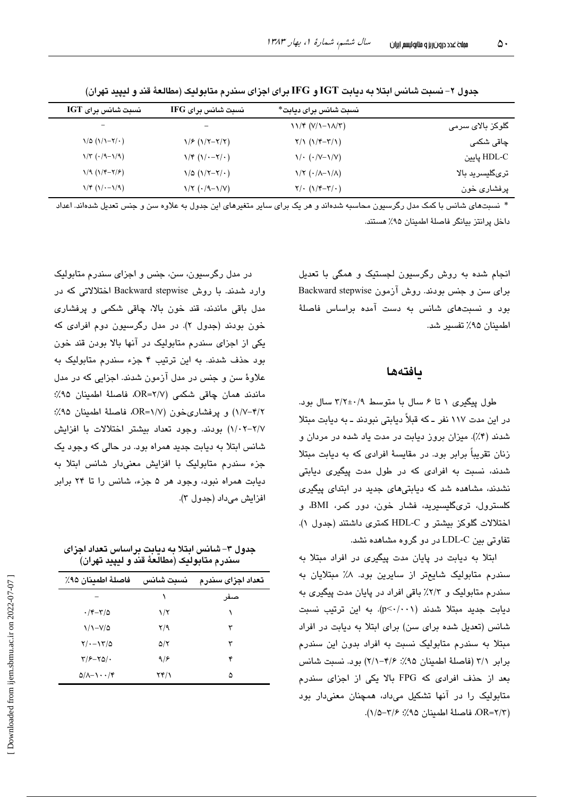|                           | نسبت شانس برای دیابت*                                      | نسبت شانس برای IFG                                         | نسبت شانس برای IGT                           |
|---------------------------|------------------------------------------------------------|------------------------------------------------------------|----------------------------------------------|
| گلوکز بالا <i>ی</i> سرمی  | $11/F (V/1 - 1\lambda/T)$                                  |                                                            |                                              |
| چاق <i>ی</i> شکم <i>ی</i> | $Y/\gamma$ $(\gamma/\gamma-\gamma/\gamma)$                 | $1/F (1/Y-Y/Y)$                                            | $\binom{1}{0}$ $\binom{1}{1}$ $\binom{1}{1}$ |
| HDL-C يايين               | $\sqrt{\cdot$ ( $\cdot/\nu-\sqrt{\nu}}$ )                  | $1/\mathfrak{r}$ $(1/\cdot -\mathfrak{r}/\cdot)$           | $\sqrt{\tau}$ ( $\cdot$ /9- $\sqrt{9}$ )     |
| ترىگليسريد بالا           | $\frac{1}{\sqrt{7}} \left( \frac{\cdot}{\sqrt{7}} \right)$ | $\binom{1}{0}$ $(\binom{1}{1}-\binom{1}{1})$               | $1/9 (1/7 - 7/5)$                            |
| پرفشاری خون               | $Y/\cdot (1/\mathfrak{r}-\mathfrak{r}/\cdot)$              | $\frac{\gamma}{\tau}$ ( $\cdot$ /9- $\frac{\gamma}{\nu}$ ) | $\binom{1}{r}$ $\binom{1}{r}$                |

جدول ۲– نسبت شانس ابتلا به دیابت IGT و IFG برای اجزای سندرم متابولیک (مطالعهٔ قند و لیپید تهران)

\* نسبتهای شانس با کمک مدل رگرسبون محاسبه شدهاند و هر یک برای سایر متغیرهای این جدول به علاوه سن و جنس تعدیل شدهاند. اعداد داخل يرانتز بيانگر فاصلهٔ اطمينان ۹۵٪ هستند.

> انجام شده به روش رگرسیون لجستیک و همگی با تعدیل برای سن و جنس بودند. روش آزمون Backward stepwise بود و نسبتهای شانس به دست آمده براساس فاصلهٔ اطمينان ٩۵٪ تفسير شد.

#### بافتهها

طول پیگیری ١ تا ۶ سال با متوسط ٢/٢±٢/٢ سال بود. در این مدت ۱۱۷ نفر ـ که قبلاً دیابتی نبودند ـ به دیابت مبتلا شدند (۴٪). میزان بروز دیابت در مدت یاد شده در مردان و زنان تقریباً برابر بود. در مقایسهٔ افرادی که به دیابت میتلا شدند، نسبت به افرادی که در طول مدت پیگیری دیابتی نشدند، مشاهده شد که دیابتی های جدید در ابتدای پیگیری کلسترول، تریگلیسیرید، فشار خون، دور کمر، BMI، و اختلالات گلوکز بیشتر و HDL-C کمتری داشتند (جدول ۱). تفاوتی بین LDL-C در دو گروه مشاهده نشد.

ابتلا به دیابت در پایان مدت پیگیری در افراد مبتلا به سندرم متابولیک شایعتر از سایرین بود. ۸٪ مبتلایان به سندرم متابولیک و ۲/۳٪ باقی افراد در پایان مدت پیگیری به ديابت جديد مبتلا شدند (p<-/r>/. به اين ترتيب نسبت شانس (تعدیل شده برای سن) برای ابتلا به دیابت در افراد مبتلا به سندرم متابولیک نسبت به افراد بدون این سندرم برابر ٣/١ (فاصلة اطمينان ٩٥٪: ٢/۶–٢/١) بود. نسبت شانس بعد از حذف افرادی که FPG بالا یکی از اجزای سندرم متابولیک را در آنها تشکیل میداد، همچنان معنیدار بود (٥٢/٢=OR)، فاصلة اطمينان ٢/٥٪؛ ٢/٥-١/٥).

در مدل رگرسیون، سن، جنس و اجزای سندرم متابولیک وارد شدند. با روش Backward stepwise اختلالاتی که در مدل باقی ماندند، قند خون بالا، چاقی شکمی و پرفشاری خون بودند (جدول ۲). در مدل رگرسیون دوم افرادی که یکی از اجزای سندرم متابولیک در آنها بالا بودن قند خون بود حذف شدند. به این ترتیب ۴ جزء سندرم متابولیک به علاوهٔ سن و جنس در مدل آزمون شدند. اجزایی که در مدل ماندند همان چاقی شکمی (۲/۷=OR، فاصلهٔ اطمینان ۹۵٪؛ ۰/۱/-۴/۲) و پرفشاریخون (۰/۷=OR، فاصلهٔ اطمینان ۹۵٪؛ ٠/١/-٢-١/٢) بودند. وجود تعداد بيشتر اختلالات با افزايش شانس ابتلا به دیابت جدید همراه بود. در حالی که وجود یک جزء سندرم متابولیک با افزایش معنیدار شانس ابتلا به دیابت همراه نبود، وجود هر ۵ جزء، شانس را تا ۲۴ برابر افزايش مىداد (جدول ٣).

جدول ۳– شانس ابتلا به دیابت براساس تعداد اجزای سندرم متابوليک (مطالعهٔ قند و ليپيد تهران)

| فاصلهٔ اطمينان ۹۵٪                         | نسبت شانس                          | تعداد اجزاى سندرم |
|--------------------------------------------|------------------------------------|-------------------|
|                                            |                                    | صنفر              |
| $\cdot$ /۴ $-\tau$ /۵                      | $\frac{1}{\tau}$                   |                   |
| $\frac{1}{2}$                              | $Y$ <sup><math>\gamma</math></sup> | ٣                 |
| $Y/\cdot - Y^2/\Delta$                     | ۵/۲                                | ٣                 |
| $\frac{1}{2}$                              | 9/8                                | ۴                 |
| $\Delta/\lambda-\lambda\cdot\cdot\prime$ ۴ | ۲۴/۱                               | ۵                 |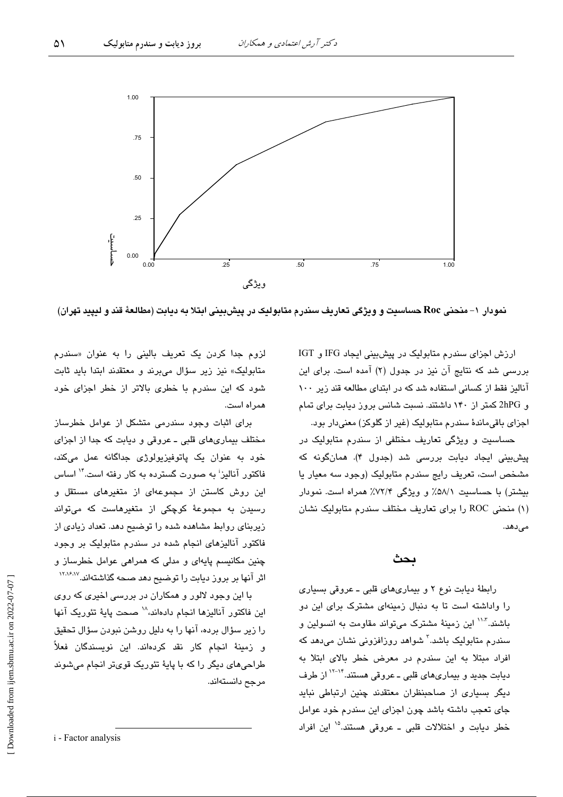

ويژگى

نمودار ۱– منحنی Roc حساسیت و ویژگی تعاریف سندرم متابولیک در پیشبینی ابتلا به دیابت (مطالعهٔ قند و لیپید تهران)

ارزش اجزای سندرم متابولیک در پیشبینی ایجاد IFG و IGT بررسی شد که نتایج آن نیز در جدول (۲) آمده است. برای این آنالیز فقط از کسانی استفاده شد که در ابتدای مطالعه قند زیر ۱۰۰ و 2hPG کمتر از ۱۴۰ داشتند. نسبت شانس بروز دیابت برای تمام اجزای باقی ماندهٔ سندرم متابولیک (غیر از گلوکز) معنی دار بود.

حساسیت و ویژگی تعاریف مختلفی از سندرم متابولیک در پیشبینی ایجاد دیابت بررسی شد (جدول ۴). همانگونه که مشخص است، تعریف رایج سندرم متابولیک (وجود سه معیار یا بیشتر) با حساسیت ۵۸/۱٪ و ویژگی ۷۲/۴٪ همراه است. نمودار (۱) منحنی ROC را برای تعاریف مختلف سندرم متابولیک نشان مىدھد.

### بحث

رابطهٔ دیابت نوع ۲ و بیماریهای قلبی ـ عروقی بسیاری را واداشته است تا به دنبال زمینهای مشترک برای این دو باشند."`` این زمینهٔ مشترک میتواند مقاومت به انسولین و سندرم متابولیک باشد.<sup>۳</sup> شواهد روزافزونی نشان میدهد که افراد مبتلا به این سندرم در معرض خطر بالای ابتلا به دیابت جدید و بیماریهای قلبی ـ عروقی هستند.<sup>۱۴–۱۲</sup> از طرف دیگر بسیاری از صاحبنظران معتقدند چنین ارتباطی نباید جای تعجب داشته باشد چون اجزای این سندرم خود عوامل خطر دیابت و اختلالات قلبی ـ عروقی هستند.<sup>۱۵</sup> این افراد

لزوم جدا کردن یک تعریف بالینی را به عنوان «سندرم متابولیک» نیز زیر سؤال میبرند و معتقدند ابتدا باید ثابت شود که این سندرم با خطری بالاتر از خطر اجزای خود همراه است.

برای اثبات وجود سندرمی متشکل از عوامل خطرساز مختلف بیماریهای قلبی ـ عروقی و دیابت که جدا از اجزای خود به عنوان یک پاتوفیزیولوژی جداگانه عمل میکند، فاکتور آنالیز<sup>ا</sup> به صورت گسترده به کار رفته است.<sup>۱۴</sup> اساس این روش کاستن از مجموعهای از متغیرهای مستقل و رسیدن به مجموعهٔ کوچکی از متغیرهاست که میتواند زیربنای روابط مشاهده شده را توضیح دهد. تعداد زیادی از فاکتور آنالیزهای انجام شده در سندرم متابولیک بر وجود چنین مکانیسم پایهای و مدلی که همراهی عوامل خطرساز و اثر آنها بر بروز دیابت را توضیح دهد صحه گذاشتهاند.<sup>۱۲،۱۶،۷</sup>

یا این وجود لالور و همکاران در پررسی اخیری که روی اين فاكتور آناليزها انجام دادهاند، `` صحت ياية تئوريك آنها را زیر سؤال برده، آنها را به دلیل روشن نبودن سؤال تحقیق و زمینهٔ انجام کار نقد کردهاند. این نویسندگان ف**ع**لاً طراحیهای دیگر را که با پایهٔ تئوریک قویتر انجام میشوند مرجح دانستەاند.

i - Factor analysis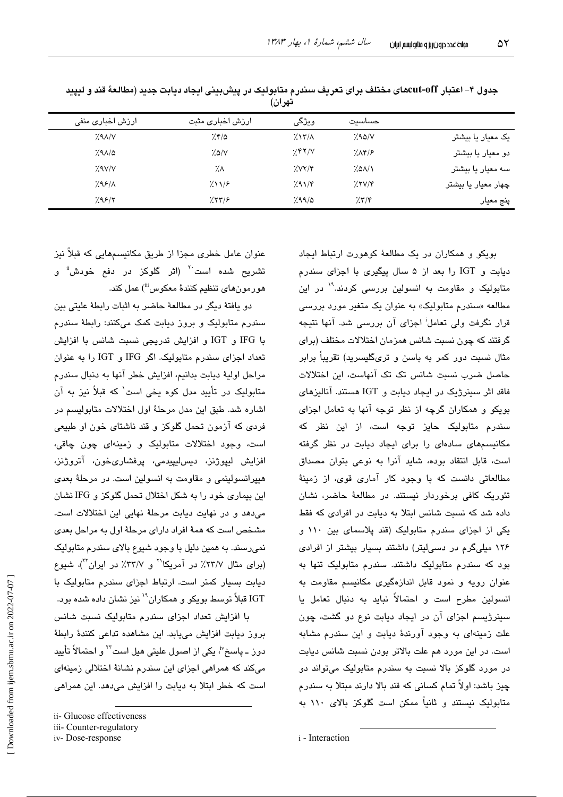| یں ب             |  |                  |                     |        |                     |  |  |
|------------------|--|------------------|---------------------|--------|---------------------|--|--|
| ارزش اخباری منفی |  | ارزش اخباری مثبت | ويژگى               | حساست  |                     |  |  |
| 7.9A/V           |  | 7.870            | $7.17/\lambda$      | 7.90/N | یک معیار یا بیشتر   |  |  |
| 7.91/2           |  | 7.0/V            | 2.87/8              | 7.1    | دو معیار یا بیشتر   |  |  |
| $X$ $V$          |  | ۰⁄.٨             | 7.087/              | 7.01/1 | سه معیار یا بیشتر   |  |  |
| 7.99/1           |  | $2\lambda$       | $7.91/\mathfrak{r}$ | 7.7V/F | چهار معیار یا بیشتر |  |  |
| 7.98/7           |  | 755/             | 7.99/0              | 7.77   | پنج معیار           |  |  |

جدول ۴– اعتبار cut-offهای مختلف برای تعریف سندرم متابولیک در پیشبینی ایجاد دیابت جدید (مطالعهٔ قند و لیپید ثم ان

عنوان عامل خطری مجزا از طریق مکانسیمهایی که قبلاً نیز تشریح شده است<sup>۲۰</sup> (اثر گلوکز در دفع خودش<sup>ة</sup> و هورمونهاي تنظيم كنندهٔ معكوس<sup>iii</sup>) عمل كند.

دو. بافتهٔ دیگر در مطالعهٔ حاضر به اثبات رابطهٔ علیتی بین سندرم متابولیک و بروز دیابت کمک میکنند: رابطهٔ سندرم با IFG و IGT و افزایش تدریجی نسبت شانس با افزایش تعداد اجزای سندرم متابولیک اگر IFG و IGT را به عنوان مراحل اولية ديابت بدانيم، افزايش خطر آنها به دنبال سندرم متابولیک در تأیید مدل کوه یخی است' که قبلاً نیز به آن اشاره شد. طبق این مدل مرحلهٔ اول اختلالات متابولسیم در فردی که آزمون تحمل گلوکز و قند ناشتای خون او طبیعی است، وجود اختلالات متابوليک و زمينهای چون چاقی، افزایش لیپوژنز، دیسلیپیدمی، پرفشاریخون، آتروژنز، هیپرانسولینمی و مقاومت به انسولین است. در مرحلهٔ بعدی این بیماری خود را به شکل اختلال تحمل گلوکز و IFG نشان می دهد و در نهایت دیایت مرحلهٔ نهایی این اختلالات است. مشخص است که همهٔ افراد دارای مرحلهٔ اول به مراحل بعدی نمي رسند. به همين دليل با وجود شيوع بالاي سندرم متابوليک (برای مثال ۲۳/۷٪ در آمریکا<sup>۲۰</sup> و ۳۲/۷٪ در ایران<sup>۲۲</sup>)، شیوع دیابت بسیار کمتر است. ارتباط اجزای سندرم متابولیک با IGT قبلاً توسط بویکو و همکاران<sup>۱</sup>۰ نیز نشان داده شده بود.

یا افزایش تعداد اجزای سندرم متابولیک نسبت شانس بروز دیابت افزایش می یابد. این مشاهده تداعی کنندهٔ رابطهٔ دورْ ـ پاسخ<sup>ِ ن</sup>ُ، یکی از اصول علیتی هیل است<sup>7۲</sup> و احتمالاً تأیید می کند که همراهی اجزای این سندرم نشانهٔ اختلالی زمینهای است که خطر ابتلا به دیابت را افزایش میدهد. این همراهی بوبکو و همکاران در یک مطالعهٔ کوهورت ارتباط ایجاد دیابت و IGT را بعد از ۵ سال پیگیری با اجزای سندرم متابولیک و مقاومت به انسولین بررس*ی* کردند.<sup>۱۹</sup> در این مطالعه «سندرم متابولیک» به عنوان یک متغیر مورد بررسی قرار نگرفت ولی تعامل<sup>:</sup> اجزای آن بررسی شد. آنها نتیجه گرفتند که چون نسبت شانس همزمان اختلالات مختلف (برای مثال نسبت دور کمر به پاسن و تریگلیسرید) تقریباً برابر حاصل ضرب نسبت شانس تک تک آنهاست، این اختلالات فاقد اثر سینرژیک در ایجاد دیابت و IGT هستند. آنالیزهای بوبکو و همکاران گرچه از نظر توجه آنها به تعامل اجزای سندرم متابولیک حایز توجه است، از این نظر که مکانیسمهای سادهای را برای ایجاد دیابت در نظر گرفته است، قابل انتقاد بوده، شاید آنرا به نوعی بتوان مصداق مطالعاتی دانست که با وجود کار آماری قوی، از زمینهٔ تئوریک کافی برخوردار نیستند. در مطالعهٔ حاضر، نشان داده شد که نسبت شانس ابتلا به دبابت در افرادی که فقط یکی از اجزای سندرم متابولیک (قند پلاسمای بین ۱۱۰ و ۱۲۶ میلیگرم در دسهایتر) داشتند بسیار بیشتر از افرادی بود که سندرم متابولیک داشتند. سندرم متابولیک تنها به عنوان رویه و نمود قابل اندازهگیری مکانیسم مقاومت به انسولين مطرح است و احتمالاً نبايد به دنبال تعامل يا سنزرژیسم اجزای آن در ایجاد دیابت نوع دو گشت، چون علت زمینهای به وجود آورندهٔ دیابت و این سندرم مشابه است. در این مورد هم علت بالاتر بودن نسبت شانس دیابت در مورد گلوکز بالا نسبت به سندرم متابولیک میتواند دو چیز باشد: اولاً تمام کسانی که قند بالا دارند مبتلا به سندرم متابولیک نیستند و ثانیاً ممکن است گلوکز بالای ۱۱۰ به

ii- Glucose effectiveness

iii- Counter-regulatory

iv-Dose-response

i - Interaction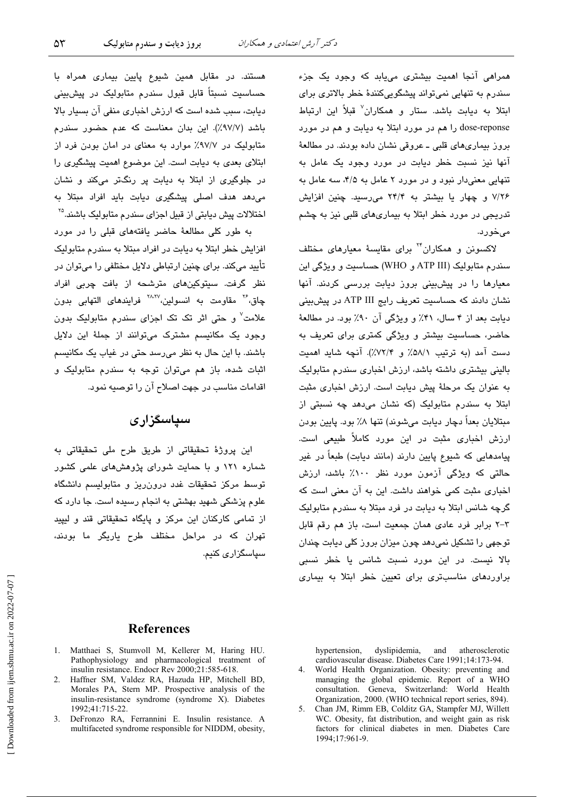همراهي آنجا اهميت بيشتري مي يابد كه وجود يک جزء سندرم به تنهایی نمیتواند پیشگویی کنندهٔ خطر بالاتری برای ابتلا به دیابت باشد. ستار و همکاران<sup>۷</sup> قبلاً این ارتباط dose-reponse را هم در مورد ابتلا به ديابت و هم در مورد بروز بیماریهای قلبی ـ عروقی نشان داده بودند. در مطالعهٔ آنها نیز نسبت خطر دیابت در مورد وجود یک عامل به تنهایی معنیدار نبود و در مورد ۲ عامل به ۴/۵، سه عامل به ۷/۲۶ و چهار یا بیشتر به ۲۴/۴ میرسید. چنین افزایش تدریجی در مورد خطر ابتلا به بیماریهای قلبی نیز به چشم مے خورد.

لاکسونن و همکاران<sup>۲۲</sup> برای مقایسهٔ معیارهای مختلف سندرم متابولیک (ATP III و WHO) حساسیت و ویژگی این معیارها را در پیشبینی بروز دیابت بررسی کردند. آنها نشان دادند که حساسیت تعریف رایج ATP III در پیش بینی دبابت بعد از ۴ سال، ۴۱٪ و ویژگی آن ۹۰٪ بود. در مطالعهٔ حاضر، حساسیت بیشتر و ویژگی کمتری برای تعریف به دست آمد (به ترتیب ۵۸/۱٪ و ۷۲/۴٪). آنچه شاید اهمیت بالبنی بیشتری داشته باشد، ارزش اخباری سندرم متابولیک به عنوان یک مرحلهٔ پیش دیابت است. ارزش اخباری مثبت ابتلا به سندرم متابولیک (که نشان میدهد چه نسبتی از میتلایان بعداً دچار دیابت میشوند) تنها ۸٪ بود. پایین بودن ارزش اخبار*ی* مثبت در این مورد کاملاً طبیعی است. پیامدهایی که شیوع پایین دارند (مانند دیابت) طبعاً در غیر حالتی که ویژگی آزمون مورد نظر ۱۰۰٪ پاشد، ارزش اخباری مثبت کمی خواهند داشت. این به آن معنی است که گرچه شانس ابتلا به دیابت در فرد مبتلا به سندرم متابولیک ٣–٢ برابر فرد عادی همان جمعیت است، باز هم رقم قابل توجهی را تشکیل نمیدهد چون میزان بروز کلی دیابت چندان بالا نیست. در این مورد نسبت شانس یا خطر نسبی براوردهای مناسبتری برای تعیین خطر ابتلا به بیماری

هستند. در مقابل همین شیوع پایین بیمار*ی* همراه با حساسیت نسبتاً قابل قبول سندرم متابولیک در پیشبینی دیابت، سبب شده است که ارزش اخباری منفی آن بسیار بالا باشد (٩٧/٧٪). این بدان معناست که عدم حضور سندرم متابولیک در ۹۷/۷٪ موارد به معنای در امان بودن فرد از ابتلای بعدی به دیابت است. این موضوع اهمیت پیشگیری را در جلوگیری از ابتلا به دیابت پر رنگتر میکند و نشان میدهد هدف اصلی پیشگیری دیابت باید افراد مبتلا به اختلالات پیش دیابتی از قبیل اجزای سندرم متابولیک باشند.<sup>۲۵</sup>

به طور کلی مطالعهٔ حاضر یافتههای قبلی را در مورد افزایش خطر ابتلا به دیابت در افراد مبتلا به سندرم متابولیک تأييد ميكند. براي چنين ارتباطي دلايل مختلفي را ميتوان در نظر گرفت. سیتوکینهای مترشحه از بافت چربی افراد چاق،<sup>۲۶</sup> مقاومت به انسولین،۱<sup>۸٬۲۷</sup> فرایند*ه*ای التهابی بدون علامت<sup>۷</sup> و حتی اثر تک تک اجزای سندرم متابولیک بدون وجود یک مکانیسم مشترک میتوانند از جملهٔ این دلایل باشند. با این حال به نظر می رسد حتی در غیاب یک مکانیسم اثبات شده، باز هم می توان توجه به سندرم متابولیک و اقدامات مناسب در جهت اصلاح آن را توصيه نمود.

# سیاسگزاری

اين پروژهٔ تحقيقاتی از طريق طرح ملی تحقيقاتی به شماره ۱۲۱ و با حمایت شورای پژوهشهای علمی کشور توسط مرکز تحقیقات غدد درون ریز و متابولیسم دانشگاه علوم پزشکی شهید بهشتی به انجام رسیده است. جا دارد که از تمامی کارکنان این مرکز و پایگاه تحقیقاتی قند و لیپید تهران که در مراحل مختلف طرح پاریگر ما بودند، سیاسگزاری کند.

### **References**

- 1. Matthaei S, Stumvoll M, Kellerer M, Haring HU. Pathophysiology and pharmacological treatment of insulin resistance. Endocr Rev 2000;21:585-618.
- $2.$ Haffner SM, Valdez RA, Hazuda HP, Mitchell BD, Morales PA, Stern MP. Prospective analysis of the insulin-resistance syndrome (syndrome X). Diabetes 1992;41:715-22.
- 3. DeFronzo RA, Ferrannini E. Insulin resistance. A multifaceted syndrome responsible for NIDDM, obesity,

hypertension, dyslipidemia, and atherosclerotic cardiovascular disease. Diabetes Care 1991;14:173-94.

- $4<sup>1</sup>$ World Health Organization. Obesity: preventing and managing the global epidemic. Report of a WHO consultation. Geneva, Switzerland: World Health Organization, 2000. (WHO technical report series, 894).
- Chan JM, Rimm EB, Colditz GA, Stampfer MJ, Willett WC. Obesity, fat distribution, and weight gain as risk factors for clinical diabetes in men. Diabetes Care 1994;17:961-9.